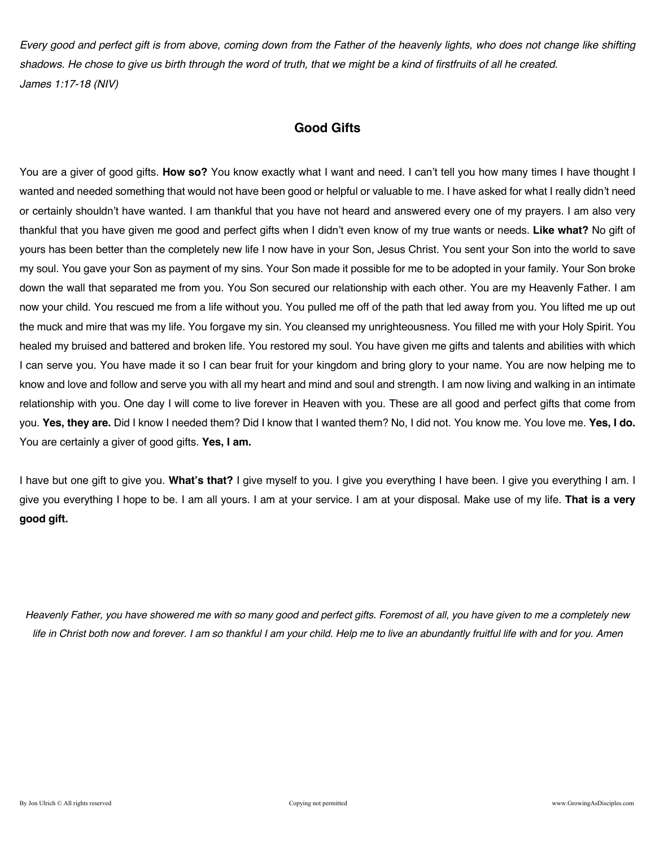*Every good and perfect gift is from above, coming down from the Father of the heavenly lights, who does not change like shifting shadows. He chose to give us birth through the word of truth, that we might be a kind of firstfruits of all he created. James 1:17-18 (NIV)*

# **Good Gifts**

You are a giver of good gifts. **How so?** You know exactly what I want and need. I can't tell you how many times I have thought I wanted and needed something that would not have been good or helpful or valuable to me. I have asked for what I really didn't need or certainly shouldn't have wanted. I am thankful that you have not heard and answered every one of my prayers. I am also very thankful that you have given me good and perfect gifts when I didn't even know of my true wants or needs. **Like what?** No gift of yours has been better than the completely new life I now have in your Son, Jesus Christ. You sent your Son into the world to save my soul. You gave your Son as payment of my sins. Your Son made it possible for me to be adopted in your family. Your Son broke down the wall that separated me from you. You Son secured our relationship with each other. You are my Heavenly Father. I am now your child. You rescued me from a life without you. You pulled me off of the path that led away from you. You lifted me up out the muck and mire that was my life. You forgave my sin. You cleansed my unrighteousness. You filled me with your Holy Spirit. You healed my bruised and battered and broken life. You restored my soul. You have given me gifts and talents and abilities with which I can serve you. You have made it so I can bear fruit for your kingdom and bring glory to your name. You are now helping me to know and love and follow and serve you with all my heart and mind and soul and strength. I am now living and walking in an intimate relationship with you. One day I will come to live forever in Heaven with you. These are all good and perfect gifts that come from you. **Yes, they are.** Did I know I needed them? Did I know that I wanted them? No, I did not. You know me. You love me. **Yes, I do.** You are certainly a giver of good gifts. **Yes, I am.**

I have but one gift to give you. **What's that?** I give myself to you. I give you everything I have been. I give you everything I am. I give you everything I hope to be. I am all yours. I am at your service. I am at your disposal. Make use of my life. **That is a very good gift.** 

*Heavenly Father, you have showered me with so many good and perfect gifts. Foremost of all, you have given to me a completely new life in Christ both now and forever. I am so thankful I am your child. Help me to live an abundantly fruitful life with and for you. Amen*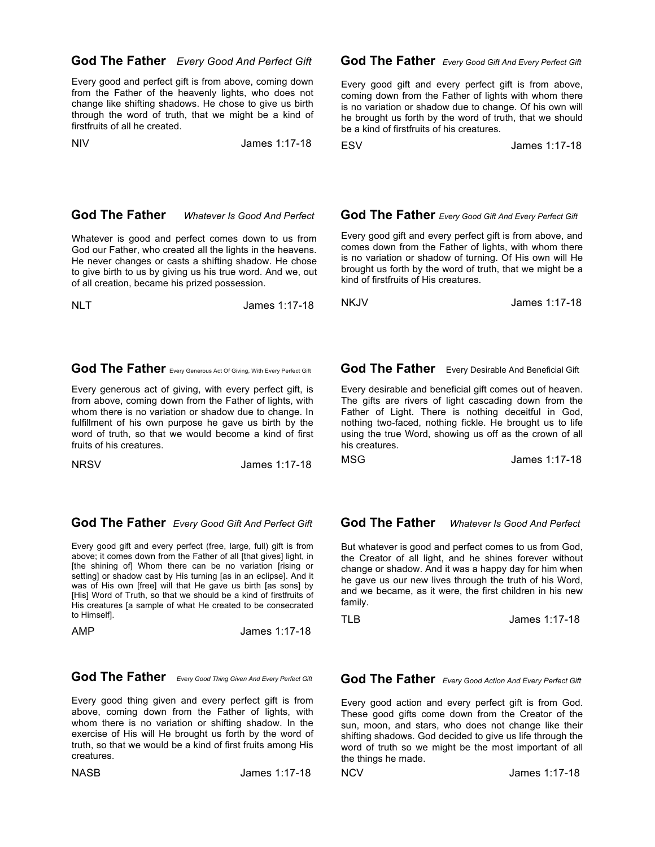### **God The Father** *Every Good And Perfect Gift*

Every good and perfect gift is from above, coming down from the Father of the heavenly lights, who does not change like shifting shadows. He chose to give us birth through the word of truth, that we might be a kind of firstfruits of all he created.

NIV James 1:17-18

### **God The Father** *Every Good Gift And Every Perfect Gift*

Every good gift and every perfect gift is from above, coming down from the Father of lights with whom there is no variation or shadow due to change. Of his own will he brought us forth by the word of truth, that we should be a kind of firstfruits of his creatures.

ESV James 1:17-18

### **God The Father** *Whatever Is Good And Perfect*

Whatever is good and perfect comes down to us from God our Father, who created all the lights in the heavens. He never changes or casts a shifting shadow. He chose to give birth to us by giving us his true word. And we, out of all creation, became his prized possession.

NLT James 1:17-18

## **God The Father** Every Generous Act Of Giving, With Every Perfect Gift

Every generous act of giving, with every perfect gift, is from above, coming down from the Father of lights, with whom there is no variation or shadow due to change. In fulfillment of his own purpose he gave us birth by the word of truth, so that we would become a kind of first fruits of his creatures.

NRSV James 1:17-18

### **God The Father** *Every Good Gift And Perfect Gift*

Every good gift and every perfect (free, large, full) gift is from above; it comes down from the Father of all [that gives] light, in [the shining of] Whom there can be no variation [rising or setting] or shadow cast by His turning [as in an eclipse]. And it was of His own [free] will that He gave us birth [as sons] by [His] Word of Truth, so that we should be a kind of firstfruits of His creatures [a sample of what He created to be consecrated to Himself].

AMP James 1:17-18

## **God The Father** *Every Good Thing Given And Every Perfect Gift*

Every good thing given and every perfect gift is from above, coming down from the Father of lights, with whom there is no variation or shifting shadow. In the exercise of His will He brought us forth by the word of truth, so that we would be a kind of first fruits among His creatures.

NASB James 1:17-18

is no variation or shadow of turning. Of His own will He brought us forth by the word of truth, that we might be a kind of firstfruits of His creatures.

 **God The Father** *Every Good Gift And Every Perfect Gift* Every good gift and every perfect gift is from above, and comes down from the Father of lights, with whom there

NKJV James 1:17-18

 **God The Father**Every Desirable And Beneficial Gift

Every desirable and beneficial gift comes out of heaven. The gifts are rivers of light cascading down from the Father of Light. There is nothing deceitful in God, nothing two-faced, nothing fickle. He brought us to life using the true Word, showing us off as the crown of all his creatures.

MSG James 1:17-18

### **God The Father** *Whatever Is Good And Perfect*

But whatever is good and perfect comes to us from God, the Creator of all light, and he shines forever without change or shadow. And it was a happy day for him when he gave us our new lives through the truth of his Word, and we became, as it were, the first children in his new family.

TLB James 1:17-18

 **God The Father** *Every Good Action And Every Perfect Gift*

Every good action and every perfect gift is from God. These good gifts come down from the Creator of the sun, moon, and stars, who does not change like their shifting shadows. God decided to give us life through the word of truth so we might be the most important of all the things he made.

NCV James 1:17-18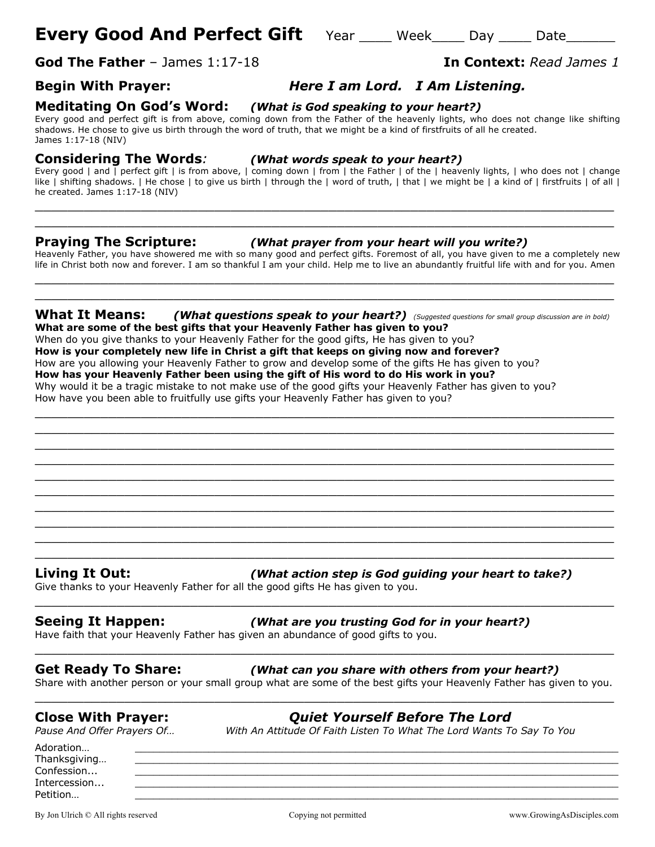# **Every Good And Perfect Gift** Year Week Day Date

**God The Father** – James 1:17-18 **In Context:** *Read James 1*

# **Begin With Prayer:** *Here I am Lord. I Am Listening.*

**Meditating On God's Word:** *(What is God speaking to your heart?)*

Every good and perfect gift is from above, coming down from the Father of the heavenly lights, who does not change like shifting shadows. He chose to give us birth through the word of truth, that we might be a kind of firstfruits of all he created. James 1:17-18 (NIV)

**Considering The Words***: (What words speak to your heart?)*

Every good | and | perfect gift | is from above, | coming down | from | the Father | of the | heavenly lights, | who does not | change like | shifting shadows. | He chose | to give us birth | through the | word of truth, | that | we might be | a kind of | firstfruits | of all | he created. James 1:17-18 (NIV)

\_\_\_\_\_\_\_\_\_\_\_\_\_\_\_\_\_\_\_\_\_\_\_\_\_\_\_\_\_\_\_\_\_\_\_\_\_\_\_\_\_\_\_\_\_\_\_\_\_\_\_\_\_\_\_\_\_\_\_\_\_\_\_\_\_\_\_\_\_\_\_ \_\_\_\_\_\_\_\_\_\_\_\_\_\_\_\_\_\_\_\_\_\_\_\_\_\_\_\_\_\_\_\_\_\_\_\_\_\_\_\_\_\_\_\_\_\_\_\_\_\_\_\_\_\_\_\_\_\_\_\_\_\_\_\_\_\_\_\_\_\_\_

**Praying The Scripture:** *(What prayer from your heart will you write?)*

Heavenly Father, you have showered me with so many good and perfect gifts. Foremost of all, you have given to me a completely new life in Christ both now and forever. I am so thankful I am your child. Help me to live an abundantly fruitful life with and for you. Amen \_\_\_\_\_\_\_\_\_\_\_\_\_\_\_\_\_\_\_\_\_\_\_\_\_\_\_\_\_\_\_\_\_\_\_\_\_\_\_\_\_\_\_\_\_\_\_\_\_\_\_\_\_\_\_\_\_\_\_\_\_\_\_\_\_\_\_\_\_\_\_

### **What It Means:** *(What questions speak to your heart?) (Suggested questions for small group discussion are in bold)* **What are some of the best gifts that your Heavenly Father has given to you?**

\_\_\_\_\_\_\_\_\_\_\_\_\_\_\_\_\_\_\_\_\_\_\_\_\_\_\_\_\_\_\_\_\_\_\_\_\_\_\_\_\_\_\_\_\_\_\_\_\_\_\_\_\_\_\_\_\_\_\_\_\_\_\_\_\_\_\_\_\_\_\_ \_\_\_\_\_\_\_\_\_\_\_\_\_\_\_\_\_\_\_\_\_\_\_\_\_\_\_\_\_\_\_\_\_\_\_\_\_\_\_\_\_\_\_\_\_\_\_\_\_\_\_\_\_\_\_\_\_\_\_\_\_\_\_\_\_\_\_\_\_\_\_  $\_$  . The contribution of the contribution of  $\mathcal{L}_1$  ,  $\mathcal{L}_2$  ,  $\mathcal{L}_3$  ,  $\mathcal{L}_4$  ,  $\mathcal{L}_5$  ,  $\mathcal{L}_6$  ,  $\mathcal{L}_7$  ,  $\mathcal{L}_8$  ,  $\mathcal{L}_9$  ,  $\mathcal{L}_1$  ,  $\mathcal{L}_2$  ,  $\mathcal{L}_3$  ,  $\mathcal{L}_5$  ,  $\mathcal{L}_6$  ,  $\mathcal{L}_$ \_\_\_\_\_\_\_\_\_\_\_\_\_\_\_\_\_\_\_\_\_\_\_\_\_\_\_\_\_\_\_\_\_\_\_\_\_\_\_\_\_\_\_\_\_\_\_\_\_\_\_\_\_\_\_\_\_\_\_\_\_\_\_\_\_\_\_\_\_\_\_ \_\_\_\_\_\_\_\_\_\_\_\_\_\_\_\_\_\_\_\_\_\_\_\_\_\_\_\_\_\_\_\_\_\_\_\_\_\_\_\_\_\_\_\_\_\_\_\_\_\_\_\_\_\_\_\_\_\_\_\_\_\_\_\_\_\_\_\_\_\_\_ \_\_\_\_\_\_\_\_\_\_\_\_\_\_\_\_\_\_\_\_\_\_\_\_\_\_\_\_\_\_\_\_\_\_\_\_\_\_\_\_\_\_\_\_\_\_\_\_\_\_\_\_\_\_\_\_\_\_\_\_\_\_\_\_\_\_\_\_\_\_\_  $\_$  , and the set of the set of the set of the set of the set of the set of the set of the set of the set of the set of the set of the set of the set of the set of the set of the set of the set of the set of the set of th  $\_$  . The contribution of the contribution of  $\mathcal{L}_1$  ,  $\mathcal{L}_2$  ,  $\mathcal{L}_3$  ,  $\mathcal{L}_4$  ,  $\mathcal{L}_5$  ,  $\mathcal{L}_6$  ,  $\mathcal{L}_7$  ,  $\mathcal{L}_8$  ,  $\mathcal{L}_9$  ,  $\mathcal{L}_1$  ,  $\mathcal{L}_2$  ,  $\mathcal{L}_3$  ,  $\mathcal{L}_5$  ,  $\mathcal{L}_6$  ,  $\mathcal{L}_$  $\_$  . The contribution of the contribution of  $\mathcal{L}_1$  ,  $\mathcal{L}_2$  ,  $\mathcal{L}_3$  ,  $\mathcal{L}_4$  ,  $\mathcal{L}_5$  ,  $\mathcal{L}_6$  ,  $\mathcal{L}_7$  ,  $\mathcal{L}_8$  ,  $\mathcal{L}_9$  ,  $\mathcal{L}_1$  ,  $\mathcal{L}_2$  ,  $\mathcal{L}_3$  ,  $\mathcal{L}_5$  ,  $\mathcal{L}_6$  ,  $\mathcal{L}_$  $\_$  . The contribution of the contribution of  $\mathcal{L}_1$  ,  $\mathcal{L}_2$  ,  $\mathcal{L}_3$  ,  $\mathcal{L}_4$  ,  $\mathcal{L}_5$  ,  $\mathcal{L}_6$  ,  $\mathcal{L}_7$  ,  $\mathcal{L}_8$  ,  $\mathcal{L}_9$  ,  $\mathcal{L}_1$  ,  $\mathcal{L}_2$  ,  $\mathcal{L}_3$  ,  $\mathcal{L}_5$  ,  $\mathcal{L}_6$  ,  $\mathcal{L}_$ 

 $\_$  , and the set of the set of the set of the set of the set of the set of the set of the set of the set of the set of the set of the set of the set of the set of the set of the set of the set of the set of the set of th

When do you give thanks to your Heavenly Father for the good gifts, He has given to you? **How is your completely new life in Christ a gift that keeps on giving now and forever?** How are you allowing your Heavenly Father to grow and develop some of the gifts He has given to you? **How has your Heavenly Father been using the gift of His word to do His work in you?** Why would it be a tragic mistake to not make use of the good gifts your Heavenly Father has given to you? How have you been able to fruitfully use gifts your Heavenly Father has given to you?

**Living It Out:** *(What action step is God guiding your heart to take?)*

Give thanks to your Heavenly Father for all the good gifts He has given to you.

### **Seeing It Happen:** *(What are you trusting God for in your heart?)*

Have faith that your Heavenly Father has given an abundance of good gifts to you.

### **Get Ready To Share:** *(What can you share with others from your heart?)*

Share with another person or your small group what are some of the best gifts your Heavenly Father has given to you. \_\_\_\_\_\_\_\_\_\_\_\_\_\_\_\_\_\_\_\_\_\_\_\_\_\_\_\_\_\_\_\_\_\_\_\_\_\_\_\_\_\_\_\_\_\_\_\_\_\_\_\_\_\_\_\_\_\_\_\_\_\_\_\_\_\_\_\_\_\_\_

\_\_\_\_\_\_\_\_\_\_\_\_\_\_\_\_\_\_\_\_\_\_\_\_\_\_\_\_\_\_\_\_\_\_\_\_\_\_\_\_\_\_\_\_\_\_\_\_\_\_\_\_\_\_\_\_\_\_\_\_\_\_\_\_\_\_\_\_\_\_\_

\_\_\_\_\_\_\_\_\_\_\_\_\_\_\_\_\_\_\_\_\_\_\_\_\_\_\_\_\_\_\_\_\_\_\_\_\_\_\_\_\_\_\_\_\_\_\_\_\_\_\_\_\_\_\_\_\_\_\_\_\_\_\_\_\_\_\_\_\_\_\_

# **Close With Prayer:** *Quiet Yourself Before The Lord*

*Pause And Offer Prayers Of… With An Attitude Of Faith Listen To What The Lord Wants To Say To You*

Adoration… \_\_\_\_\_\_\_\_\_\_\_\_\_\_\_\_\_\_\_\_\_\_\_\_\_\_\_\_\_\_\_\_\_\_\_\_\_\_\_\_\_\_\_\_\_\_\_\_\_\_\_\_\_\_\_\_\_\_\_\_\_\_\_\_\_\_\_\_\_\_\_\_\_\_\_\_\_\_\_ Thanksgiving...  $\textsf{Confession...}\qquad \qquad \underline{\hspace{25pt}}$ Intercession... \_\_\_\_\_\_\_\_\_\_\_\_\_\_\_\_\_\_\_\_\_\_\_\_\_\_\_\_\_\_\_\_\_\_\_\_\_\_\_\_\_\_\_\_\_\_\_\_\_\_\_\_\_\_\_\_\_\_\_\_\_\_\_\_\_\_\_\_\_\_\_\_\_\_\_\_\_\_\_ Petition… \_\_\_\_\_\_\_\_\_\_\_\_\_\_\_\_\_\_\_\_\_\_\_\_\_\_\_\_\_\_\_\_\_\_\_\_\_\_\_\_\_\_\_\_\_\_\_\_\_\_\_\_\_\_\_\_\_\_\_\_\_\_\_\_\_\_\_\_\_\_\_\_\_\_\_\_\_\_\_

By Jon Ulrich © All rights reserved compared Copying not permitted www.GrowingAsDisciples.com